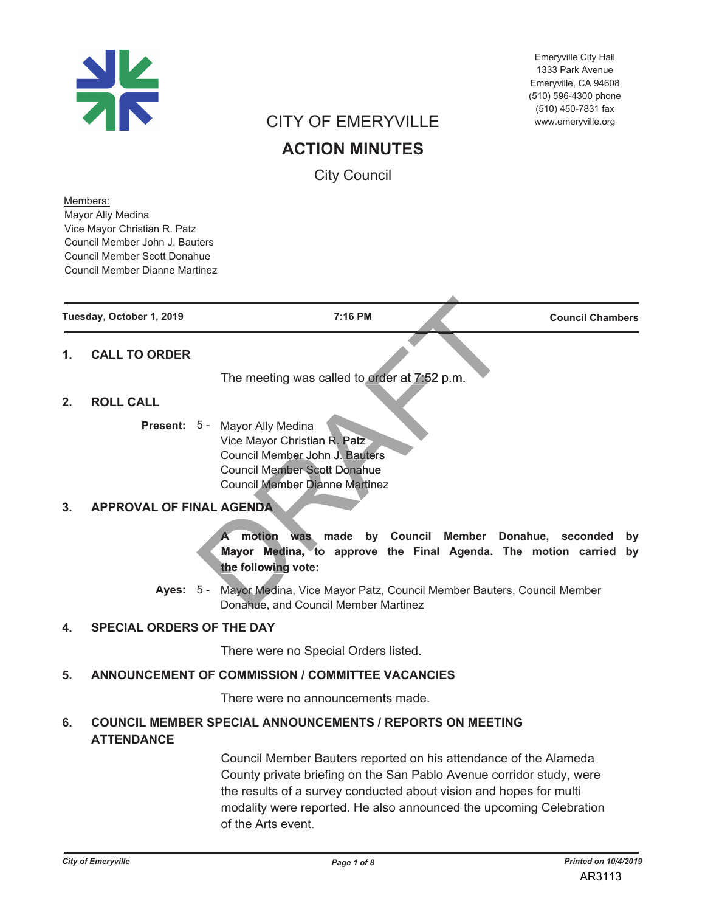

Emeryville City Hall 1333 Park Avenue Emervville, CA 94608 (510) 596-4300 phone (510) 450-7831 fax www.emeryville.org

# **CITY OF EMERYVILLE**

**ACTION MINUTES** 

**City Council** 

Members: Mayor Ally Medina Vice Mayor Christian R. Patz Council Member John J. Bauters Council Member Scott Donahue **Council Member Dianne Martinez** 

Tuesday, October 1, 2019

7:16 PM

**Council Chambers** 

#### **CALL TO ORDER**  $\mathbf{1}$ .

The meeting was called to order at 7:52 p.m.

#### **ROLL CALL**  $\mathbf{p}$

Present: 5 - Mayor Ally Medina Vice Mayor Christian R. Patz Council Member John J. Bauters **Council Member Scott Donahue** Council Member Dianne Martinez

#### **APPROVAL OF FINAL AGENDA**  $3.$

was made by Council Member Donahue, seconded by A motion Mayor Medina, to approve the Final Agenda. The motion carried by the following vote:

Ayes: 5 - Mayor Medina, Vice Mayor Patz, Council Member Bauters, Council Member Donahue, and Council Member Martinez

#### **SPECIAL ORDERS OF THE DAY**  $\overline{\mathbf{4}}$ .

There were no Special Orders listed.

#### **ANNOUNCEMENT OF COMMISSION / COMMITTEE VACANCIES** 5.

There were no announcements made.

#### **COUNCIL MEMBER SPECIAL ANNOUNCEMENTS / REPORTS ON MEETING** 6. **ATTENDANCE**

Council Member Bauters reported on his attendance of the Alameda County private briefing on the San Pablo Avenue corridor study, were the results of a survey conducted about vision and hopes for multi modality were reported. He also announced the upcoming Celebration of the Arts event.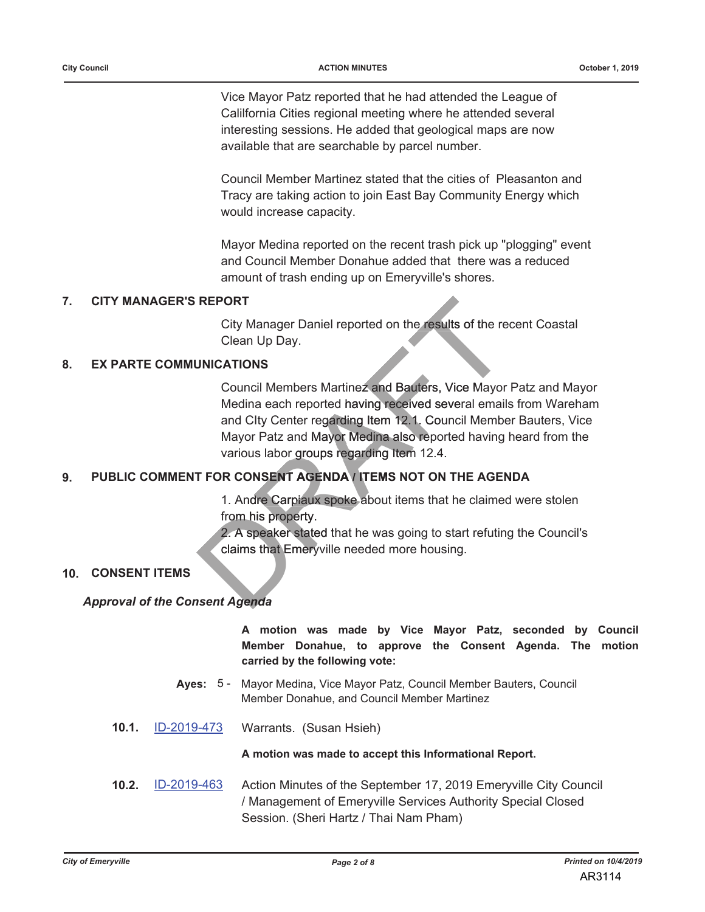Vice Mayor Patz reported that he had attended the League of Calilfornia Cities regional meeting where he attended several interesting sessions. He added that geological maps are now available that are searchable by parcel number.

Council Member Martinez stated that the cities of Pleasanton and Tracy are taking action to join East Bay Community Energy which would increase capacity.

Mayor Medina reported on the recent trash pick up "plogging" event and Council Member Donahue added that there was a reduced amount of trash ending up on Emeryville's shores.

#### $7<sub>1</sub>$ **CITY MANAGER'S REPORT**

City Manager Daniel reported on the results of the recent Coastal Clean Up Day.

#### **EX PARTE COMMUNICATIONS** 8.

Council Members Martinez and Bauters, Vice Mayor Patz and Mayor Medina each reported having received several emails from Wareham and Clty Center regarding Item 12.1. Council Member Bauters, Vice Mayor Patz and Mayor Medina also reported having heard from the various labor groups regarding Item 12.4.

#### PUBLIC COMMENT FOR CONSENT AGENDA I TEMS NOT ON THE AGENDA 9.

1. Andre Carpiaux spoke about items that he claimed were stolen from his property.

2. A speaker stated that he was going to start refuting the Council's claims that Emeryville needed more housing.

### **10. CONSENT ITEMS**

### **Approval of the Consent Agenda**

A motion was made by Vice Mayor Patz, seconded by Council Member Donahue, to approve the Consent Agenda. The motion carried by the following vote:

- Ayes: 5 Mayor Medina, Vice Mayor Patz, Council Member Bauters, Council Member Donahue, and Council Member Martinez
- 10.1. ID-2019-473 Warrants. (Susan Hsieh)

A motion was made to accept this Informational Report.

 $10.2.$ ID-2019-463 Action Minutes of the September 17, 2019 Emeryville City Council / Management of Emeryville Services Authority Special Closed Session. (Sheri Hartz / Thai Nam Pham)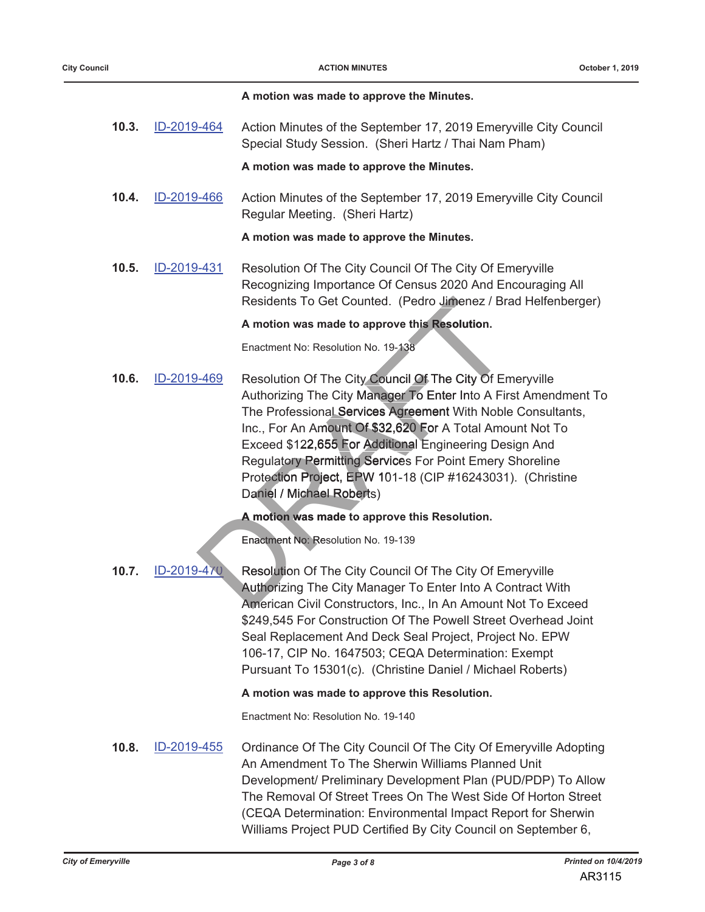| A motion was made to approve the Minutes. |  |  |  |  |  |  |  |  |  |
|-------------------------------------------|--|--|--|--|--|--|--|--|--|
|-------------------------------------------|--|--|--|--|--|--|--|--|--|

 $10.3.$ ID-2019-464 Action Minutes of the September 17, 2019 Emeryville City Council Special Study Session. (Sheri Hartz / Thai Nam Pham)

A motion was made to approve the Minutes.

 $10.4.$ ID-2019-466 Action Minutes of the September 17, 2019 Emeryville City Council Regular Meeting. (Sheri Hartz)

### A motion was made to approve the Minutes.

 $10.5.$ ID-2019-431 Resolution Of The City Council Of The City Of Emeryville Recognizing Importance Of Census 2020 And Encouraging All Residents To Get Counted. (Pedro Jimenez / Brad Helfenberger)

A motion was made to approve this Resolution.

Enactment No: Resolution No. 19-138

 $10.6.$ ID-2019-469 Resolution Of The City Council Of The City Of Emeryville Authorizing The City Manager To Enter Into A First Amendment To The Professional Services Agreement With Noble Consultants, Inc., For An Amount Of \$32,620 For A Total Amount Not To Exceed \$122,655 For Additional Engineering Design And **Regulatory Permitting Services For Point Emery Shoreline** Protection Project, EPW 101-18 (CIP #16243031). (Christine Daniel / Michael Roberts)

A motion was made to approve this Resolution.

Enactment No: Resolution No. 19-139

ID-2019-470  $10.7.$ Resolution Of The City Council Of The City Of Emeryville Authorizing The City Manager To Enter Into A Contract With American Civil Constructors, Inc., In An Amount Not To Exceed \$249,545 For Construction Of The Powell Street Overhead Joint Seal Replacement And Deck Seal Project, Project No. EPW 106-17, CIP No. 1647503; CEQA Determination: Exempt Pursuant To 15301(c). (Christine Daniel / Michael Roberts)

A motion was made to approve this Resolution.

Enactment No: Resolution No. 19-140

 $10.8.$ ID-2019-455 Ordinance Of The City Council Of The City Of Emeryville Adopting An Amendment To The Sherwin Williams Planned Unit Development/ Preliminary Development Plan (PUD/PDP) To Allow The Removal Of Street Trees On The West Side Of Horton Street (CEQA Determination: Environmental Impact Report for Sherwin Williams Project PUD Certified By City Council on September 6,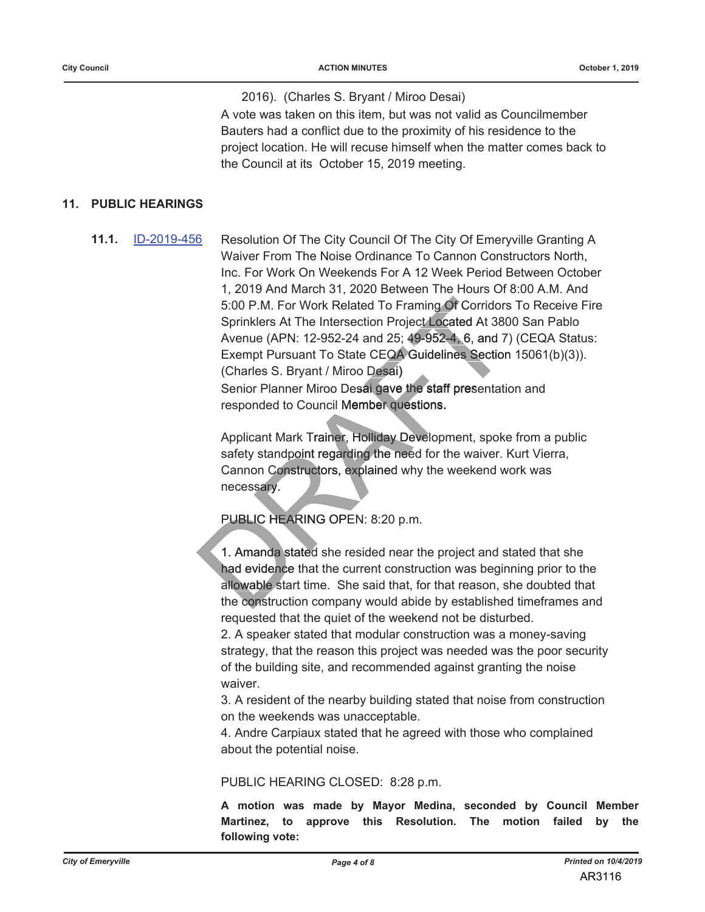2016). (Charles S. Bryant / Miroo Desai) A vote was taken on this item, but was not valid as Councilmember Bauters had a conflict due to the proximity of his residence to the

project location. He will recuse himself when the matter comes back to the Council at its October 15, 2019 meeting.

### 11. PUBLIC HEARINGS

 $11.1.$ ID-2019-456 Resolution Of The City Council Of The City Of Emeryville Granting A Waiver From The Noise Ordinance To Cannon Constructors North. Inc. For Work On Weekends For A 12 Week Period Between October 1, 2019 And March 31, 2020 Between The Hours Of 8:00 A.M. And 5:00 P.M. For Work Related To Framing Of Corridors To Receive Fire Sprinklers At The Intersection Project Located At 3800 San Pablo Avenue (APN: 12-952-24 and 25; 49-952-4, 6, and 7) (CEQA Status: Exempt Pursuant To State CEQA Guidelines Section 15061(b)(3)). (Charles S. Bryant / Miroo Desai) Senior Planner Miroo Desai gave the staff presentation and responded to Council Member questions.

> Applicant Mark Trainer, Holliday Development, spoke from a public safety standpoint regarding the need for the waiver. Kurt Vierra, Cannon Constructors, explained why the weekend work was necessary.

## PUBLIC HEARING OPEN: 8:20 p.m.

1. Amanda stated she resided near the project and stated that she had evidence that the current construction was beginning prior to the allowable start time. She said that, for that reason, she doubted that the construction company would abide by established timeframes and requested that the quiet of the weekend not be disturbed.

2. A speaker stated that modular construction was a money-saving strategy, that the reason this project was needed was the poor security of the building site, and recommended against granting the noise waiver.

3. A resident of the nearby building stated that noise from construction on the weekends was unacceptable.

4. Andre Carpiaux stated that he agreed with those who complained about the potential noise.

PUBLIC HEARING CLOSED: 8:28 p.m.

A motion was made by Mayor Medina, seconded by Council Member Martinez, to approve this Resolution. The motion failed bv the following vote: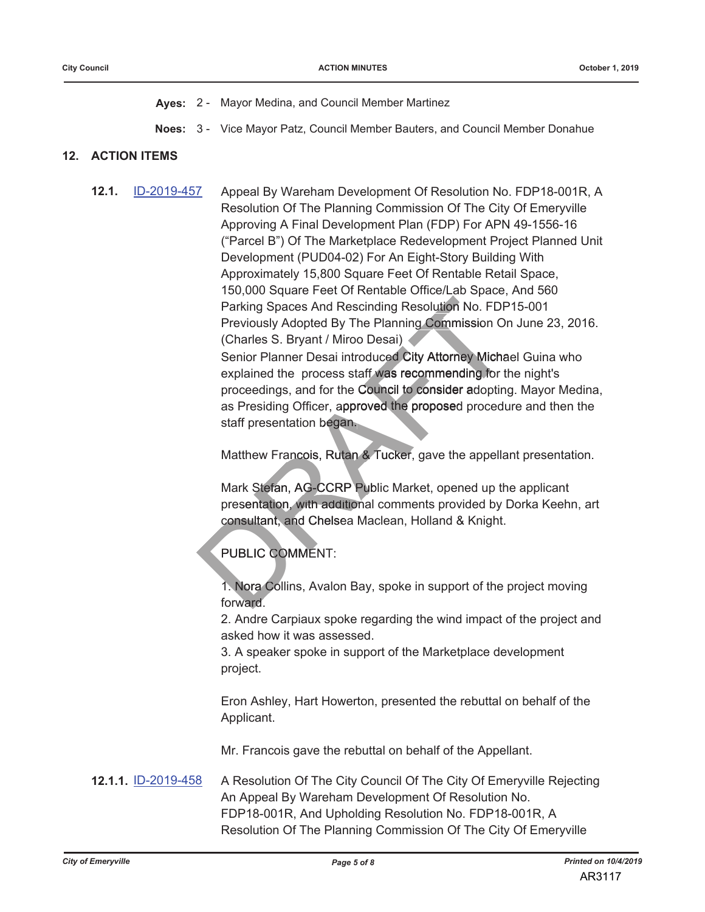Ayes: 2 - Mayor Medina, and Council Member Martinez

Noes: 3 - Vice Mayor Patz, Council Member Bauters, and Council Member Donahue

### **12. ACTION ITEMS**

 $12.1.$ 

ID-2019-457 Appeal By Wareham Development Of Resolution No. FDP18-001R, A Resolution Of The Planning Commission Of The City Of Emeryville Approving A Final Development Plan (FDP) For APN 49-1556-16 ("Parcel B") Of The Marketplace Redevelopment Project Planned Unit Development (PUD04-02) For An Eight-Story Building With Approximately 15,800 Square Feet Of Rentable Retail Space, 150,000 Square Feet Of Rentable Office/Lab Space, And 560 Parking Spaces And Rescinding Resolution No. FDP15-001 Previously Adopted By The Planning Commission On June 23, 2016. (Charles S. Bryant / Miroo Desai) Senior Planner Desai introduced City Attorney Michael Guina who explained the process staff was recommending for the night's proceedings, and for the Council to consider adopting. Mayor Medina, as Presiding Officer, approved the proposed procedure and then the staff presentation began.

Matthew Francois, Rutan & Tucker, gave the appellant presentation.

Mark Stefan, AG-CCRP Public Market, opened up the applicant presentation, with additional comments provided by Dorka Keehn, art consultant, and Chelsea Maclean, Holland & Knight.

PUBLIC COMMENT:

1. Nora Collins, Avalon Bay, spoke in support of the project moving forward.

2. Andre Carpiaux spoke regarding the wind impact of the project and asked how it was assessed.

3. A speaker spoke in support of the Marketplace development project.

Eron Ashley, Hart Howerton, presented the rebuttal on behalf of the Applicant.

Mr. Francois gave the rebuttal on behalf of the Appellant.

**12.1.1. ID-2019-458** A Resolution Of The City Council Of The City Of Emeryville Rejecting An Appeal By Wareham Development Of Resolution No. FDP18-001R, And Upholding Resolution No. FDP18-001R, A Resolution Of The Planning Commission Of The City Of Emeryville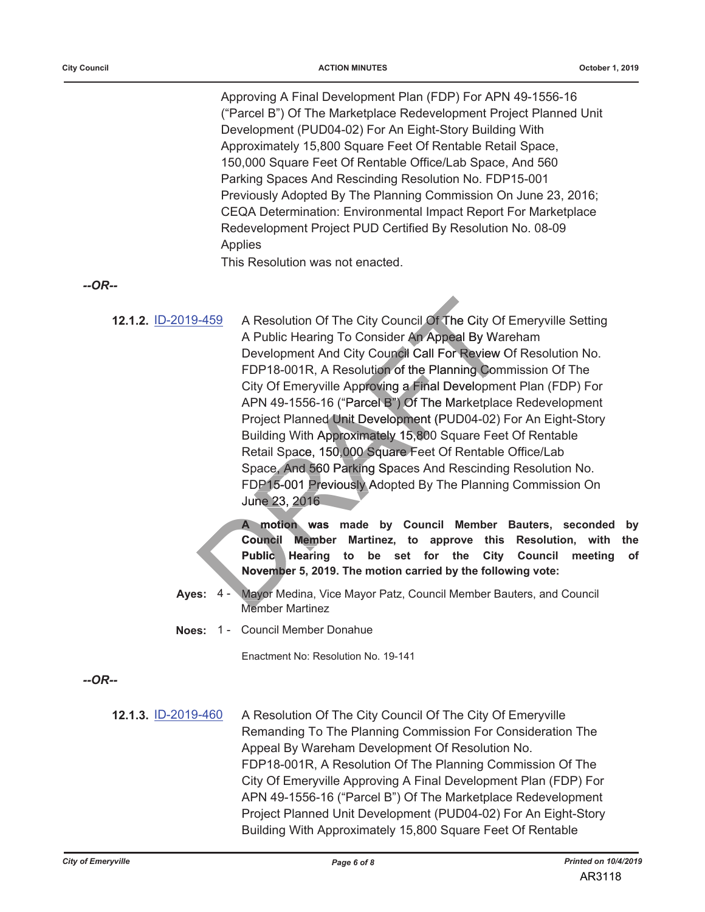Approving A Final Development Plan (FDP) For APN 49-1556-16 ("Parcel B") Of The Marketplace Redevelopment Project Planned Unit Development (PUD04-02) For An Eight-Story Building With Approximately 15,800 Square Feet Of Rentable Retail Space, 150,000 Square Feet Of Rentable Office/Lab Space, And 560 Parking Spaces And Rescinding Resolution No. FDP15-001 Previously Adopted By The Planning Commission On June 23, 2016; CEQA Determination: Environmental Impact Report For Marketplace Redevelopment Project PUD Certified By Resolution No. 08-09 **Applies** 

This Resolution was not enacted.

 $-OR-$ 

A Resolution Of The City Council Of The City Of Emeryville Setting 12.1.2. ID-2019-459 A Public Hearing To Consider An Appeal By Wareham Development And City Council Call For Review Of Resolution No. FDP18-001R, A Resolution of the Planning Commission Of The City Of Emeryville Approving a Final Development Plan (FDP) For APN 49-1556-16 ("Parcel B") Of The Marketplace Redevelopment Project Planned Unit Development (PUD04-02) For An Eight-Story Building With Approximately 15,800 Square Feet Of Rentable Retail Space, 150,000 Square Feet Of Rentable Office/Lab Space, And 560 Parking Spaces And Rescinding Resolution No. FDP15-001 Previously Adopted By The Planning Commission On June 23, 2016

> A motion was made by Council Member Bauters, seconded by Council Member Martinez, to approve this Resolution, with the Public Hearing to be set for the City **Council** meeting of November 5, 2019. The motion carried by the following vote:

- Mayor Medina, Vice Mayor Patz, Council Member Bauters, and Council Ayes:  $4 -$ **Member Martinez**
- Noes: 1 Council Member Donahue

Enactment No: Resolution No. 19-141

 $-OR-$ 

12.1.3. ID-2019-460 A Resolution Of The City Council Of The City Of Emeryville Remanding To The Planning Commission For Consideration The Appeal By Wareham Development Of Resolution No. FDP18-001R, A Resolution Of The Planning Commission Of The City Of Emeryville Approving A Final Development Plan (FDP) For APN 49-1556-16 ("Parcel B") Of The Marketplace Redevelopment Project Planned Unit Development (PUD04-02) For An Eight-Story Building With Approximately 15,800 Square Feet Of Rentable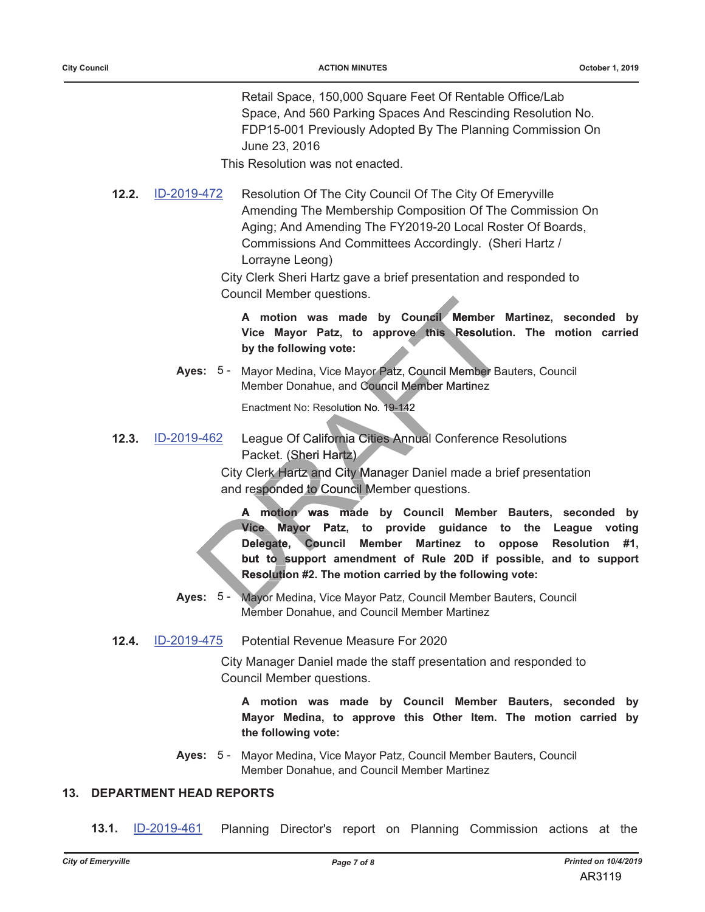Retail Space, 150,000 Square Feet Of Rentable Office/Lab Space, And 560 Parking Spaces And Rescinding Resolution No. FDP15-001 Previously Adopted By The Planning Commission On June 23, 2016

This Resolution was not enacted.

ID-2019-472  $12.2.$ Resolution Of The City Council Of The City Of Emeryville Amending The Membership Composition Of The Commission On Aging; And Amending The FY2019-20 Local Roster Of Boards, Commissions And Committees Accordingly. (Sheri Hartz / Lorrayne Leong)

> City Clerk Sheri Hartz gave a brief presentation and responded to **Council Member questions.**

A motion was made by Council Member Martinez, seconded by Vice Mayor Patz, to approve this Resolution. The motion carried by the following vote:

Ayes: 5 - Mayor Medina, Vice Mayor Patz, Council Member Bauters, Council Member Donahue, and Council Member Martinez

Enactment No: Resolution No. 19-142

**12.3. ID-2019-462** League Of California Cities Annual Conference Resolutions Packet. (Sheri Hartz)

> City Clerk Hartz and City Manager Daniel made a brief presentation and responded to Council Member questions.

A motion was made by Council Member Bauters, seconded by Vice Mayor Patz, to provide guidance to the League voting Delegate, Council Member Martinez to oppose Resolution  $#1.$ but to support amendment of Rule 20D if possible, and to support Resolution #2. The motion carried by the following vote:

- Mayor Medina, Vice Mayor Patz, Council Member Bauters, Council Ayes:  $5 -$ Member Donahue, and Council Member Martinez
- $12.4.$ Potential Revenue Measure For 2020 ID-2019-475

City Manager Daniel made the staff presentation and responded to Council Member questions.

A motion was made by Council Member Bauters, seconded by Mayor Medina, to approve this Other Item. The motion carried by the following vote:

Ayes: 5 - Mayor Medina, Vice Mayor Patz, Council Member Bauters, Council Member Donahue, and Council Member Martinez

### **13. DEPARTMENT HEAD REPORTS**

 $13.1.$ ID-2019-461 Planning Director's report on Planning Commission actions at the